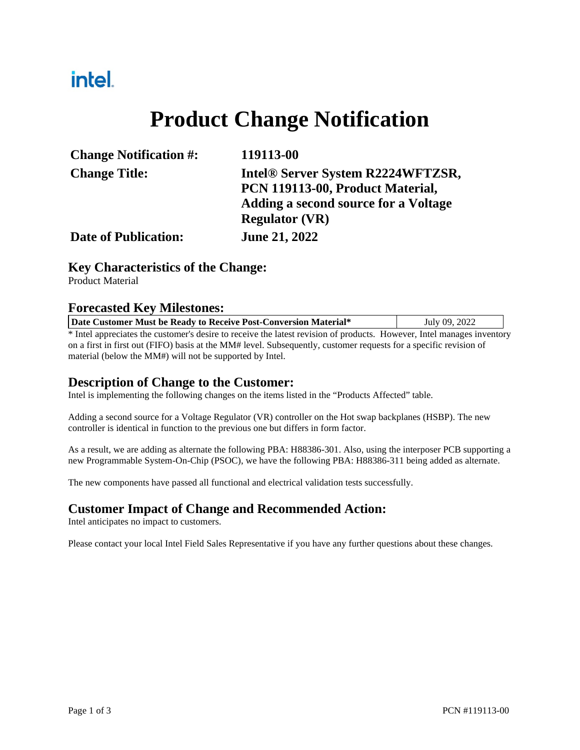## intel.

## **Product Change Notification**

| <b>Change Notification #:</b> | 119113-00                            |  |  |
|-------------------------------|--------------------------------------|--|--|
| <b>Change Title:</b>          | Intel® Server System R2224WFTZSR,    |  |  |
|                               | PCN 119113-00, Product Material,     |  |  |
|                               | Adding a second source for a Voltage |  |  |
|                               | <b>Regulator (VR)</b>                |  |  |
| <b>Date of Publication:</b>   | <b>June 21, 2022</b>                 |  |  |

#### **Key Characteristics of the Change:**

Product Material

#### **Forecasted Key Milestones:**

| Date Customer Must be Ready to Receive Post-Conversion Material*                                                       | July 09, 2022 |
|------------------------------------------------------------------------------------------------------------------------|---------------|
| * Intel appreciates the customer's desire to receive the latest revision of products. However, Intel manages inventory |               |
|                                                                                                                        |               |

on a first in first out (FIFO) basis at the MM# level. Subsequently, customer requests for a specific revision of material (below the MM#) will not be supported by Intel.

### **Description of Change to the Customer:**

Intel is implementing the following changes on the items listed in the "Products Affected" table.

Adding a second source for a Voltage Regulator (VR) controller on the Hot swap backplanes (HSBP). The new controller is identical in function to the previous one but differs in form factor.

As a result, we are adding as alternate the following PBA: H88386-301. Also, using the interposer PCB supporting a new Programmable System-On-Chip (PSOC), we have the following PBA: H88386-311 being added as alternate.

The new components have passed all functional and electrical validation tests successfully.

#### **Customer Impact of Change and Recommended Action:**

Intel anticipates no impact to customers.

Please contact your local Intel Field Sales Representative if you have any further questions about these changes.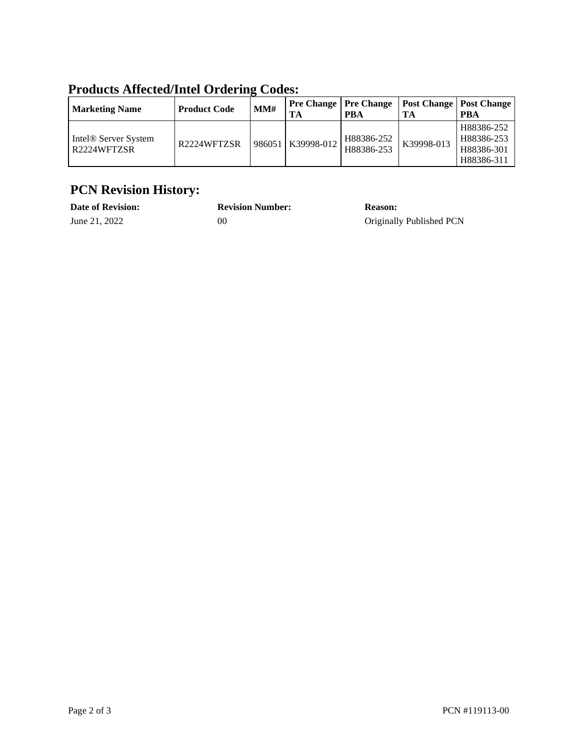| Troudels innected inter or define could:        |                     |     |                   |                                       |            |                                                      |  |  |
|-------------------------------------------------|---------------------|-----|-------------------|---------------------------------------|------------|------------------------------------------------------|--|--|
| <b>Marketing Name</b>                           | <b>Product Code</b> | MM# | TA                | <b>Pre Change   Pre Change</b><br>PBA | TА         | <b>Post Change   Post Change  </b><br><b>PBA</b>     |  |  |
| Intel <sup>®</sup> Server System<br>R2224WFTZSR | R2224WFTZSR         |     | 986051 K39998-012 | H88386-252<br>H88386-253              | K39998-013 | H88386-252<br>H88386-253<br>H88386-301<br>H88386-311 |  |  |

### **Products Affected/Intel Ordering Codes:**

### **PCN Revision History:**

| <b>Date of Revision:</b> | <b>Revision Number:</b> | <b>Reason:</b>           |
|--------------------------|-------------------------|--------------------------|
| June 21, 2022            | 00                      | Originally Published PCN |